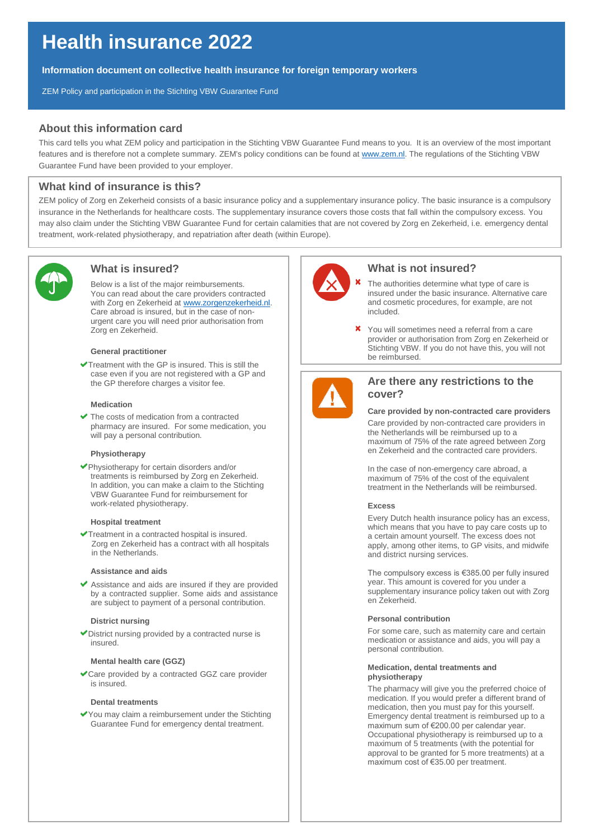# **Health insurance 2022**

**Information document on collective health insurance for foreign temporary workers**

ZEM Policy and participation in the Stichting VBW Guarantee Fund

# **About this information card**

This card tells you what ZEM policy and participation in the Stichting VBW Guarantee Fund means to you. It is an overview of the most important features and is therefore not a complete summary. ZEM's policy conditions can be found at [www.zem.nl.](http://www.zem.nl/) The regulations of the Stichting VBW Guarantee Fund have been provided to your employer.

## **What kind of insurance is this?**

ZEM policy of Zorg en Zekerheid consists of a basic insurance policy and a supplementary insurance policy. The basic insurance is a compulsory insurance in the Netherlands for healthcare costs. The supplementary insurance covers those costs that fall within the compulsory excess. You may also claim under the Stichting VBW Guarantee Fund for certain calamities that are not covered by Zorg en Zekerheid, i.e. emergency dental treatment, work-related physiotherapy, and repatriation after death (within Europe).



# **What is insured?**

Below is a list of the major reimbursements. You can read about the care providers contracted with Zorg en Zekerheid at [www.zorgenzekerheid.nl.](http://www.zorgenzekerheid.nl/) Care abroad is insured, but in the case of nonurgent care you will need prior authorisation from Zorg en Zekerheid.

## **General practitioner**

 $\blacktriangleright$ Treatment with the GP is insured. This is still the case even if you are not registered with a GP and the GP therefore charges a visitor fee.

#### **Medication**

The costs of medication from a contracted pharmacy are insured. For some medication, you will pay a personal contribution.

## **Physiotherapy**

Physiotherapy for certain disorders and/or treatments is reimbursed by Zorg en Zekerheid. In addition, you can make a claim to the Stichting VBW Guarantee Fund for reimbursement for work-related physiotherapy.

#### **Hospital treatment**

Treatment in a contracted hospital is insured. Zorg en Zekerheid has a contract with all hospitals in the Netherlands.

### **Assistance and aids**

Assistance and aids are insured if they are provided by a contracted supplier. Some aids and assistance are subject to payment of a personal contribution.

### **District nursing**

District nursing provided by a contracted nurse is insured.

## **Mental health care (GGZ)**

Care provided by a contracted GGZ care provider is insured.

## **Dental treatments**

You may claim a reimbursement under the Stichting Guarantee Fund for emergency dental treatment.



## **What is not insured?**

- The authorities determine what type of care is insured under the basic insurance. Alternative care and cosmetic procedures, for example, are not included.
- You will sometimes need a referral from a care provider or authorisation from Zorg en Zekerheid or Stichting VBW. If you do not have this, you will not be reimbursed.



# **Are there any restrictions to the cover?**

## **Care provided by non-contracted care providers**

Care provided by non-contracted care providers in the Netherlands will be reimbursed up to a maximum of 75% of the rate agreed between Zorg en Zekerheid and the contracted care providers.

In the case of non-emergency care abroad, a maximum of 75% of the cost of the equivalent treatment in the Netherlands will be reimbursed.

### **Excess**

Every Dutch health insurance policy has an excess, which means that you have to pay care costs up to a certain amount yourself. The excess does not apply, among other items, to GP visits, and midwife and district nursing services.

The compulsory excess is €385.00 per fully insured year. This amount is covered for you under a supplementary insurance policy taken out with Zorg en Zekerheid.

## **Personal contribution**

For some care, such as maternity care and certain medication or assistance and aids, you will pay a personal contribution.

#### **Medication, dental treatments and physiotherapy**

The pharmacy will give you the preferred choice of medication. If you would prefer a different brand of medication, then you must pay for this yourself. Emergency dental treatment is reimbursed up to a maximum sum of €200.00 per calendar year. Occupational physiotherapy is reimbursed up to a maximum of 5 treatments (with the potential for approval to be granted for 5 more treatments) at a maximum cost of €35.00 per treatment.